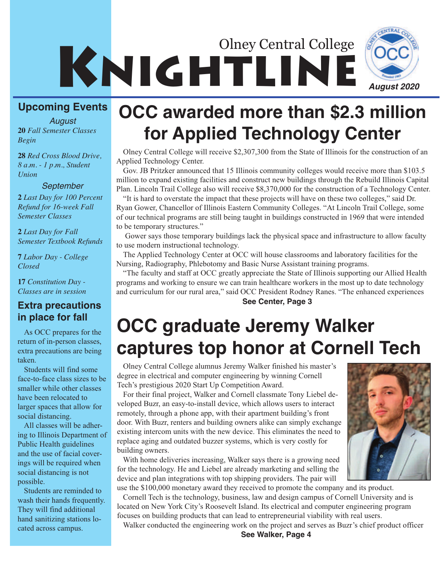# **KNIGHTLINE** Olney Central College



**20** *Fall Semester Classes Begin August*

**28** *Red Cross Blood Drive, 8 a.m. - 1 p.m., Student Union*

#### *September*

**2** *Last Day for 100 Percent Refund for 16-week Fall Semester Classes*

**2** *Last Day for Fall Semester Textbook Refunds*

**7** *Labor Day - College Closed*

**17** *Constitution Day - Classes are in session*

# **in place for fall**

As OCC prepares for the return of in-person classes, extra precautions are being taken.

Students will find some face-to-face class sizes to be smaller while other classes have been relocated to larger spaces that allow for social distancing.

All classes will be adhering to Illinois Department of Public Health guidelines and the use of facial coverings will be required when social distancing is not possible.

Students are reminded to wash their hands frequently. They will find additional hand sanitizing stations located across campus.

# **OCC awarded more than \$2.3 million for Applied Technology Center**

Olney Central College will receive \$2,307,300 from the State of Illinois for the construction of an Applied Technology Center.

Gov. JB Pritzker announced that 15 Illinois community colleges would receive more than \$103.5 million to expand existing facilities and construct new buildings through the Rebuild Illinois Capital Plan. Lincoln Trail College also will receive \$8,370,000 for the construction of a Technology Center.

"It is hard to overstate the impact that these projects will have on these two colleges," said Dr. Ryan Gower, Chancellor of Illinois Eastern Community Colleges. "At Lincoln Trail College, some of our technical programs are still being taught in buildings constructed in 1969 that were intended to be temporary structures."

Gower says those temporary buildings lack the physical space and infrastructure to allow faculty to use modern instructional technology.

The Applied Technology Center at OCC will house classrooms and laboratory facilities for the Nursing, Radiography, Phlebotomy and Basic Nurse Assistant training programs.

"The faculty and staff at OCC greatly appreciate the State of Illinois supporting our Allied Health programs and working to ensure we can train healthcare workers in the most up to date technology and curriculum for our rural area," said OCC President Rodney Ranes. "The enhanced experiences **See Center, Page 3 Extra precautions**

# **OCC graduate Jeremy Walker captures top honor at Cornell Tech**

Olney Central College alumnus Jeremy Walker finished his master's degree in electrical and computer engineering by winning Cornell Tech's prestigious 2020 Start Up Competition Award.

For their final project, Walker and Cornell classmate Tony Liebel developed Buzr, an easy-to-install device, which allows users to interact remotely, through a phone app, with their apartment building's front door. With Buzr, renters and building owners alike can simply exchange existing intercom units with the new device. This eliminates the need to replace aging and outdated buzzer systems, which is very costly for building owners.

With home deliveries increasing, Walker says there is a growing need for the technology. He and Liebel are already marketing and selling the device and plan integrations with top shipping providers. The pair will use the \$100,000 monetary award they received to promote the company and its product.

Cornell Tech is the technology, business, law and design campus of Cornell University and is located on New York City's Roosevelt Island. Its electrical and computer engineering program focuses on building products that can lead to entrepreneurial viability with real users.

Walker conducted the engineering work on the project and serves as Buzr's chief product officer **See Walker, Page 4**

*August 2020*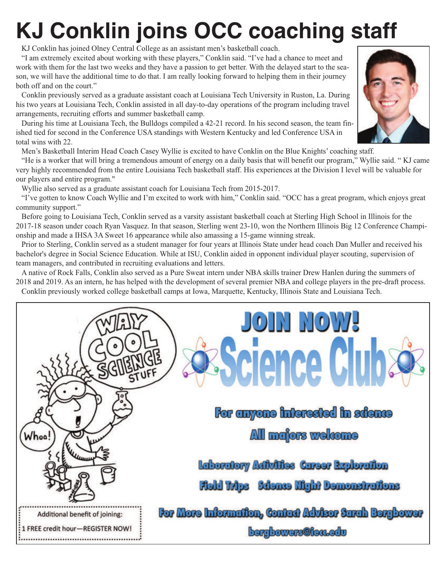# **KJ Conklin joins OCC coaching staff**

KJ Conklin has joined Olney Central College as an assistant men's basketball coach.

"I am extremely excited about working with these players," Conklin said. "I've had a chance to meet and work with them for the last two weeks and they have a passion to get better. With the delayed start to the season, we will have the additional time to do that. I am really looking forward to helping them in their journey both off and on the court."

Conklin previously served as a graduate assistant coach at Louisiana Tech University in Ruston, La. During his two years at Louisiana Tech, Conklin assisted in all day-to-day operations of the program including travel arrangements, recruiting efforts and summer basketball camp.

During his time at Louisiana Tech, the Bulldogs compiled a 42-21 record. In his second season, the team finished tied for second in the Conference USA standings with Western Kentucky and led Conference USA in total wins with 22.

Men's Basketball Interim Head Coach Casey Wyllie is excited to have Conklin on the Blue Knights' coaching staff.

"He is a worker that will bring a tremendous amount of energy on a daily basis that will benefit our program," Wyllie said. " KJ came very highly recommended from the entire Louisiana Tech basketball staff. His experiences at the Division I level will be valuable for our players and entire program."

Wyllie also served as a graduate assistant coach for Louisiana Tech from 2015-2017.

"I've gotten to know Coach Wyllie and I'm excited to work with him," Conklin said. "OCC has a great program, which enjoys great community support."

Before going to Louisiana Tech, Conklin served as a varsity assistant basketball coach at Sterling High School in Illinois for the 2017-18 season under coach Ryan Vasquez. In that season, Sterling went 23-10, won the Northern Illinois Big 12 Conference Championship and made a IHSA 3A Sweet 16 appearance while also amassing a 15-game winning streak.

Prior to Sterling, Conklin served as a student manager for four years at Illinois State under head coach Dan Muller and received his bachelor's degree in Social Science Education. While at ISU, Conklin aided in opponent individual player scouting, supervision of team managers, and contributed in recruiting evaluations and letters.

A native of Rock Falls, Conklin also served as a Pure Sweat intern under NBA skills trainer Drew Hanlen during the summers of 2018 and 2019. As an intern, he has helped with the development of several premier NBA and college players in the pre-draft process. Conklin previously worked college basketball camps at Iowa, Marquette, Kentucky, Illinois State and Louisiana Tech.



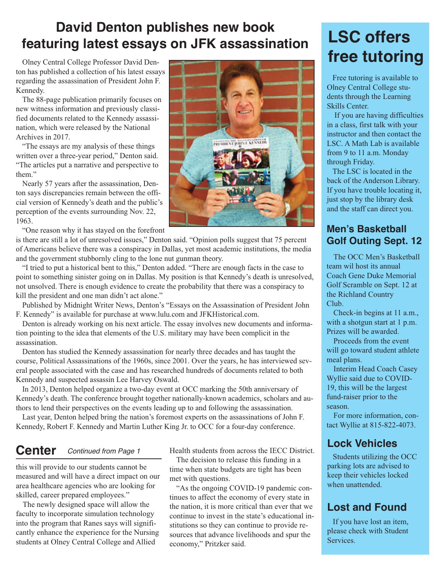### **David Denton publishes new book featuring latest essays on JFK assassination**

Olney Central College Professor David Denton has published a collection of his latest essays regarding the assassination of President John F. Kennedy.

The 88-page publication primarily focuses on new witness information and previously classified documents related to the Kennedy assassination, which were released by the National Archives in 2017.

"The essays are my analysis of these things written over a three-year period," Denton said. "The articles put a narrative and perspective to them."

Nearly 57 years after the assassination, Denton says discrepancies remain between the official version of Kennedy's death and the public's perception of the events surrounding Nov. 22, 1963.

"One reason why it has stayed on the forefront

is there are still a lot of unresolved issues," Denton said. "Opinion polls suggest that 75 percent of Americans believe there was a conspiracy in Dallas, yet most academic institutions, the media and the government stubbornly cling to the lone nut gunman theory.

"I tried to put a historical bent to this," Denton added. "There are enough facts in the case to point to something sinister going on in Dallas. My position is that Kennedy's death is unresolved, not unsolved. There is enough evidence to create the probability that there was a conspiracy to kill the president and one man didn't act alone."

Published by Midnight Writer News, Denton's "Essays on the Assassination of President John F. Kennedy" is available for purchase at www.lulu.com and JFKHistorical.com.

Denton is already working on his next article. The essay involves new documents and information pointing to the idea that elements of the U.S. military may have been complicit in the assassination.

Denton has studied the Kennedy assassination for nearly three decades and has taught the course, Political Assassinations of the 1960s, since 2001. Over the years, he has interviewed several people associated with the case and has researched hundreds of documents related to both Kennedy and suspected assassin Lee Harvey Oswald.

In 2013, Denton helped organize a two-day event at OCC marking the 50th anniversary of Kennedy's death. The conference brought together nationally-known academics, scholars and authors to lend their perspectives on the events leading up to and following the assassination.

Last year, Denton helped bring the nation's foremost experts on the assassinations of John F. Kennedy, Robert F. Kennedy and Martin Luther King Jr. to OCC for a four-day conference.

### **Center** *Continued from Page 1*

this will provide to our students cannot be measured and will have a direct impact on our area healthcare agencies who are looking for skilled, career prepared employees."

The newly designed space will allow the faculty to incorporate simulation technology into the program that Ranes says will significantly enhance the experience for the Nursing students at Olney Central College and Allied

Health students from across the IECC District.

The decision to release this funding in a time when state budgets are tight has been met with questions.

"As the ongoing COVID-19 pandemic continues to affect the economy of every state in the nation, it is more critical than ever that we continue to invest in the state's educational institutions so they can continue to provide resources that advance livelihoods and spur the economy," Pritzker said.

## **LSC offers free tutoring**

Free tutoring is available to Olney Central College students through the Learning Skills Center.

If you are having difficulties in a class, first talk with your instructor and then contact the LSC. A Math Lab is available from 9 to 11 a.m. Monday through Friday.

The LSC is located in the back of the Anderson Library. If you have trouble locating it, just stop by the library desk and the staff can direct you.

#### **Men's Basketball Golf Outing Sept. 12**

The OCC Men's Basketball team wil host its annual Coach Gene Duke Memorial Golf Scramble on Sept. 12 at the Richland Country Club.

Check-in begins at 11 a.m., with a shotgun start at 1 p.m. Prizes will be awarded.

Proceeds from the event will go toward student athlete meal plans.

Interim Head Coach Casey Wyllie said due to COVID-19, this will be the largest fund-raiser prior to the season.

For more information, contact Wyllie at 815-822-4073.

#### **Lock Vehicles**

Students utilizing the OCC parking lots are advised to keep their vehicles locked when unattended.

#### **Lost and Found**

If you have lost an item, please check with Student Services.